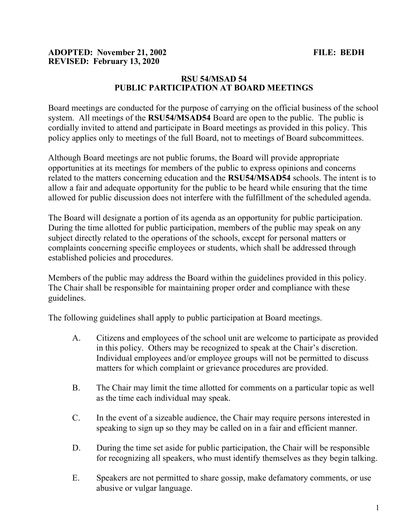## ADOPTED: November 21, 2002 FILE: BEDH REVISED: February 13, 2020

## RSU 54/MSAD 54 PUBLIC PARTICIPATION AT BOARD MEETINGS

Board meetings are conducted for the purpose of carrying on the official business of the school system. All meetings of the RSU54/MSAD54 Board are open to the public. The public is cordially invited to attend and participate in Board meetings as provided in this policy. This policy applies only to meetings of the full Board, not to meetings of Board subcommittees.

Although Board meetings are not public forums, the Board will provide appropriate opportunities at its meetings for members of the public to express opinions and concerns related to the matters concerning education and the RSU54/MSAD54 schools. The intent is to allow a fair and adequate opportunity for the public to be heard while ensuring that the time allowed for public discussion does not interfere with the fulfillment of the scheduled agenda.

The Board will designate a portion of its agenda as an opportunity for public participation. During the time allotted for public participation, members of the public may speak on any subject directly related to the operations of the schools, except for personal matters or complaints concerning specific employees or students, which shall be addressed through established policies and procedures.

Members of the public may address the Board within the guidelines provided in this policy. The Chair shall be responsible for maintaining proper order and compliance with these guidelines.

The following guidelines shall apply to public participation at Board meetings.

- A. Citizens and employees of the school unit are welcome to participate as provided in this policy. Others may be recognized to speak at the Chair's discretion. Individual employees and/or employee groups will not be permitted to discuss matters for which complaint or grievance procedures are provided.
- B. The Chair may limit the time allotted for comments on a particular topic as well as the time each individual may speak.
- C. In the event of a sizeable audience, the Chair may require persons interested in speaking to sign up so they may be called on in a fair and efficient manner.
- D. During the time set aside for public participation, the Chair will be responsible for recognizing all speakers, who must identify themselves as they begin talking.
- E. Speakers are not permitted to share gossip, make defamatory comments, or use abusive or vulgar language.